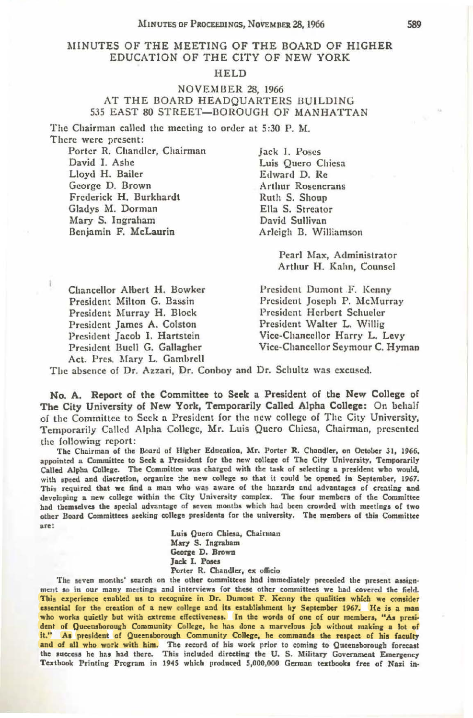## }.I!NUTES OF THE MEETING OF THE BOARD OF HIGHER EDUCATION OF THE CITY OF NEW YORK

## HELD

## NOVEMBER 28, 1966 AT THE BOARD HEADQUARTERS BUILDING 535 EAST 80 STREET-BOROUGH OF MANHATTAN

The Chairman called the meeting to order at 5:30 P. M. There were present:

Porter R. Chandler, Chairman David I. Ashe Lloyd H. Bailer George D. Brown Frederick H. Burkhardt Gladys M. Dorman Mary S. Ingraham Benjamin F. McLaurin

Jack I. Poses Luis Quero Chiesa Edward D. Re Arthur Rosencrans Ruth S. Shoup Ella S. Streator David Sullivan Arleigh B. Williamson

> Pearl Max, Administrator Arthur H. Kahn, Counsel

Chancellor Albert H. Bowker President Milton G. Bassin President Murray H. Block President James A. Colston President Jacob I. Hartstein President Buell G. Gallagher Act. Pres. Mary L. Gambrell

President Dumont F. Kenny President Joseph P. McMurray President Herbert Schueler President Walter L. Willig Vice-Chancellor Harry L. Levy Vice-Chancellor Seymour C. Hyman

The absence of Dr. Azzari, Dr. Conboy and Dr. Schultz was excused.

**No. A. Report of the Committee to Seek a President of the New College of The City University of New York, Temporarily Called Alpha College:** On behalf of the Committee to Seek a President for the new college of The City University, Temporarily Called Alpha College, Mr. Luis Quero Chiesa, Chairman , presented the following report:

The Chairman of the Board of Higher Education, Mr. Porter R. Chandler, on October 31, 1966, appointed a Committee to Seek a President for the new college of The City University, Temporarily Called Alpha College. The Committee was charged with the task of selecting a president who would. with speed and discretion, organize the new college so that it could be opened in September, 1967. This required that we find a man who was aware of the hazards and advantages of creating and developing a new college within the City University complex. The four members of the Committee had themselves the special advantage of seven months which had been crowded with meetings of two other Board Committees seeking college presidents for the university. The members of this Committee **are:** 

**Luia** Quero **Chiesa,** Chairman Mary S. **Inaraham**  George D. Brown **Jack I. Poses** Porter R. Chandler, **ex** officio

The seven months' search on the other committees had immediately preceded the present assignment so in our many meetings and interviews for these other committees we had covered the field. This experience enabled us to recognize in Dr. Dumont F. Kenny the qualities which we consider essential for the creation of a new college and its establishment by September 1967. He is a man who works quietly but with extreme effectiveness. In the words of one of our members, "As president of Queensborough Community College, he has done a marvelous job without making a lot of it." As president of Queensborough Community College, he commands the respect of his faculty and of all who work with him. The record of his work prior to coming to Queensborough forecast<br>the success he has had there. This included directing the U. S. Military Government Emergency Textbook Printing Program in 1945 which produced 5,000,000 German textbooks free of Nazi in-